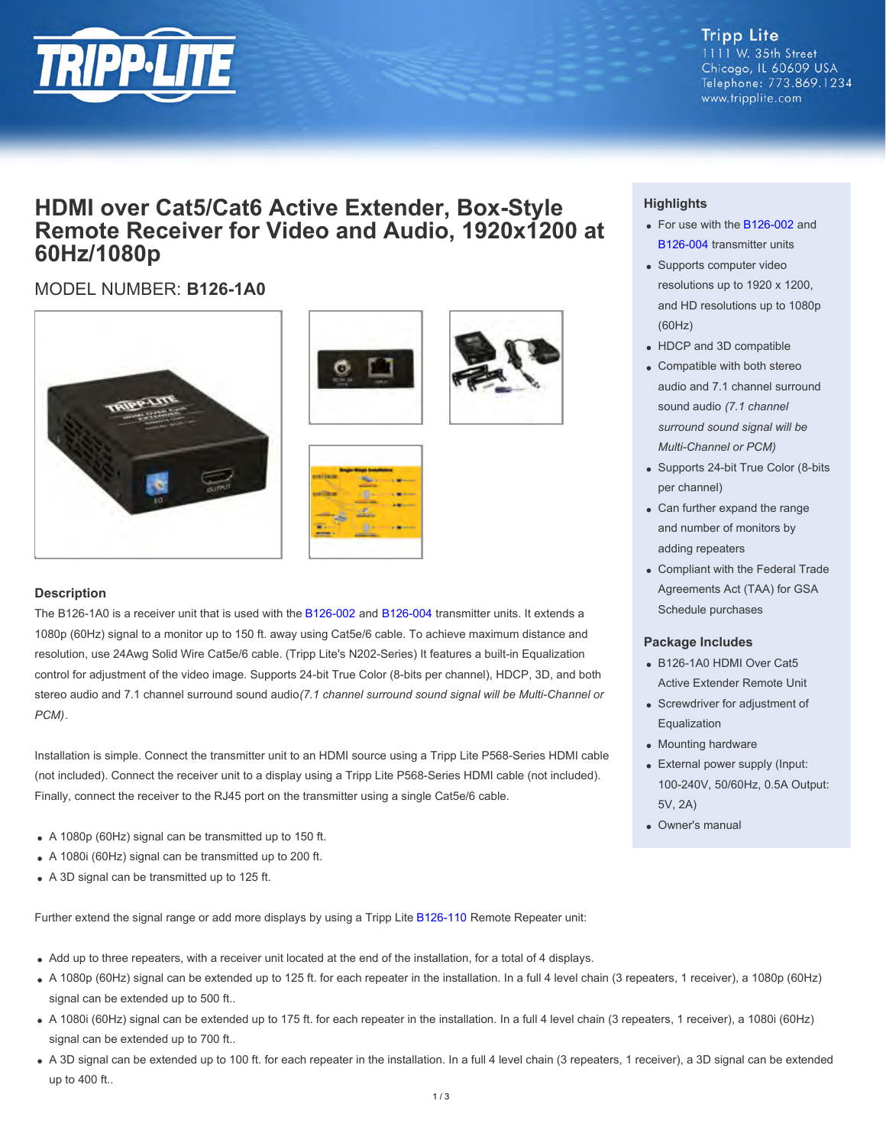

#### **Tripp Lite** 1111 W. 35th Street Chicago, IL 60609 USA Telephone: 773.869.1234 www.tripplite.com

## **HDMI over Cat5/Cat6 Active Extender, Box-Style Remote Receiver for Video and Audio, 1920x1200 at 60Hz/1080p**

### MODEL NUMBER: **B126-1A0**











#### **Description**

The B126-1A0 is a receiver unit that is used with the [B126-002](http://www.tripplite.com/en/products/model.cfm?txtseriesid=787&txtmodelid=4667) and [B126-004](http://www.tripplite.com/en/products/model.cfm?txtseriesid=787&txtmodelid=4666) transmitter units. It extends a 1080p (60Hz) signal to a monitor up to 150 ft. away using Cat5e/6 cable. To achieve maximum distance and resolution, use 24Awg Solid Wire Cat5e/6 cable. (Tripp Lite's N202-Series) It features a built-in Equalization control for adjustment of the video image. Supports 24-bit True Color (8-bits per channel), HDCP, 3D, and both stereo audio and 7.1 channel surround sound audio *(7.1 channel surround sound signal will be Multi-Channel or PCM)*.

Installation is simple. Connect the transmitter unit to an HDMI source using a Tripp Lite P568-Series HDMI cable (not included). Connect the receiver unit to a display using a Tripp Lite P568-Series HDMI cable (not included). Finally, connect the receiver to the RJ45 port on the transmitter using a single Cat5e/6 cable.

- A 1080p (60Hz) signal can be transmitted up to 150 ft.
- A 1080i (60Hz) signal can be transmitted up to 200 ft.
- A 3D signal can be transmitted up to 125 ft.

Further extend the signal range or add more displays by using a Tripp Lite [B126-110](http://www.tripplite.com/en/products/model.cfm?txtseriesid=787&txtmodelid=5022) Remote Repeater unit:

- Add up to three repeaters, with a receiver unit located at the end of the installation, for a total of 4 displays.
- A 1080p (60Hz) signal can be extended up to 125 ft. for each repeater in the installation. In a full 4 level chain (3 repeaters, 1 receiver), a 1080p (60Hz) signal can be extended up to 500 ft..
- A 1080i (60Hz) signal can be extended up to 175 ft. for each repeater in the installation. In a full 4 level chain (3 repeaters, 1 receiver), a 1080i (60Hz) signal can be extended up to 700 ft..
- A 3D signal can be extended up to 100 ft. for each repeater in the installation. In a full 4 level chain (3 repeaters, 1 receiver), a 3D signal can be extended up to 400 ft..

#### **Highlights**

- For use with the [B126-002](http://www.tripplite.com/en/products/model.cfm?txtmodelid=4667) and [B126-004](http://www.tripplite.com/en/products/model.cfm?txtseriesid=787&txtmodelid=4666) transmitter units
- Supports computer video resolutions up to 1920 x 1200, and HD resolutions up to 1080p (60Hz)
- HDCP and 3D compatible
- Compatible with both stereo audio and 7.1 channel surround sound audio *(7.1 channel surround sound signal will be Multi-Channel or PCM)*
- Supports 24-bit True Color (8-bits per channel)
- Can further expand the range and number of monitors by adding repeaters
- Compliant with the Federal Trade Agreements Act (TAA) for GSA Schedule purchases

#### **Package Includes**

- B126-1A0 HDMI Over Cat5 Active Extender Remote Unit
- Screwdriver for adjustment of Equalization
- Mounting hardware
- External power supply (Input: 100-240V, 50/60Hz, 0.5A Output: 5V, 2A)
- Owner's manual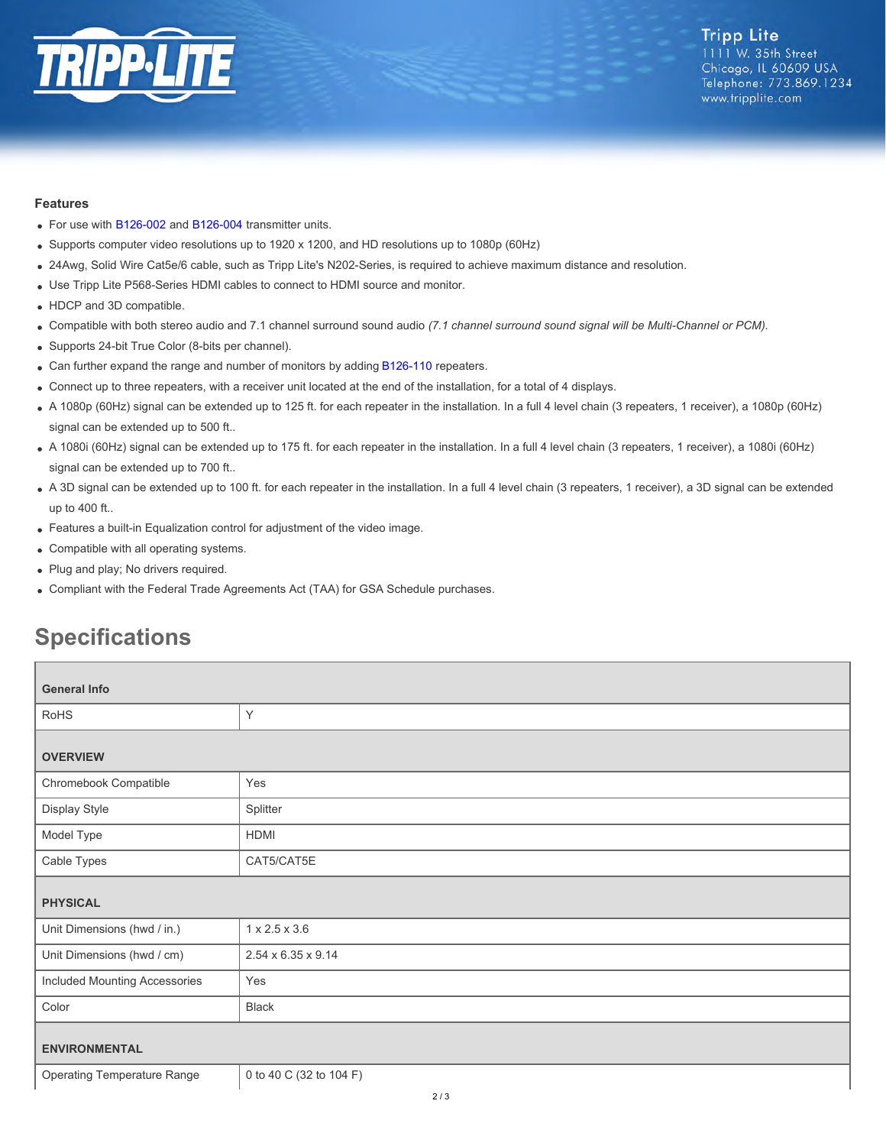

#### **Features**

- For use with [B126-002](http://www.tripplite.com/en/products/model.cfm?txtseriesid=787&txtmodelid=4667) and [B126-004](http://www.tripplite.com/en/products/model.cfm?txtseriesid=787&txtmodelid=4666) transmitter units.
- Supports computer video resolutions up to 1920 x 1200, and HD resolutions up to 1080p (60Hz)
- 24Awg, Solid Wire Cat5e/6 cable, such as Tripp Lite's N202-Series, is required to achieve maximum distance and resolution.
- Use Tripp Lite P568-Series HDMI cables to connect to HDMI source and monitor.
- HDCP and 3D compatible.
- Compatible with both stereo audio and 7.1 channel surround sound audio *(7.1 channel surround sound signal will be Multi-Channel or PCM).*
- Supports 24-bit True Color (8-bits per channel).
- Can further expand the range and number of monitors by adding [B126-110](http://www.tripplite.com/en/products/model.cfm?txtseriesid=787&txtmodelid=5022) repeaters.
- Connect up to three repeaters, with a receiver unit located at the end of the installation, for a total of 4 displays.
- A 1080p (60Hz) signal can be extended up to 125 ft. for each repeater in the installation. In a full 4 level chain (3 repeaters, 1 receiver), a 1080p (60Hz) signal can be extended up to 500 ft..
- A 1080i (60Hz) signal can be extended up to 175 ft. for each repeater in the installation. In a full 4 level chain (3 repeaters, 1 receiver), a 1080i (60Hz) signal can be extended up to 700 ft..
- A 3D signal can be extended up to 100 ft. for each repeater in the installation. In a full 4 level chain (3 repeaters, 1 receiver), a 3D signal can be extended up to 400 ft..
- Features a built-in Equalization control for adjustment of the video image.
- Compatible with all operating systems.
- Plug and play; No drivers required.
- Compliant with the Federal Trade Agreements Act (TAA) for GSA Schedule purchases.

# **Specifications**

| <b>General Info</b>                |                                |  |
|------------------------------------|--------------------------------|--|
| <b>RoHS</b>                        | Y                              |  |
| <b>OVERVIEW</b>                    |                                |  |
| Chromebook Compatible              | Yes                            |  |
| Display Style                      | Splitter                       |  |
| Model Type                         | HDMI                           |  |
| Cable Types                        | CAT5/CAT5E                     |  |
| <b>PHYSICAL</b>                    |                                |  |
| Unit Dimensions (hwd / in.)        | $1 \times 2.5 \times 3.6$      |  |
| Unit Dimensions (hwd / cm)         | $2.54 \times 6.35 \times 9.14$ |  |
| Included Mounting Accessories      | Yes                            |  |
| Color                              | Black                          |  |
| <b>ENVIRONMENTAL</b>               |                                |  |
| <b>Operating Temperature Range</b> | 0 to 40 C (32 to 104 F)        |  |